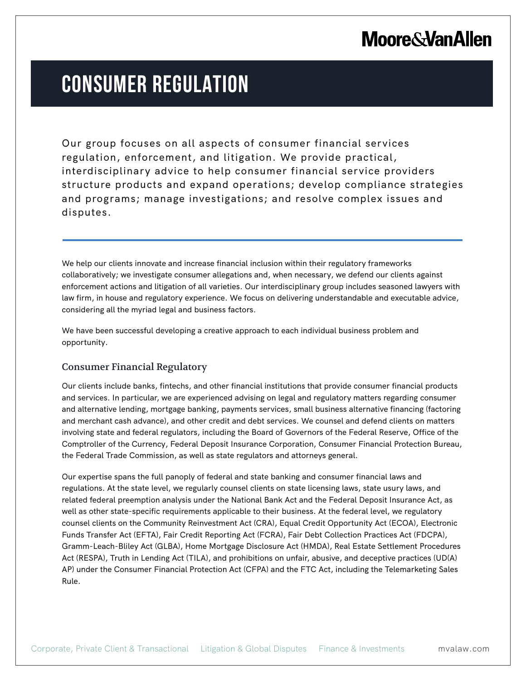## **Moore & Van Allen**

# **CONSUMER REGULATION**

Our group focuses on all aspects of consumer financial services regulation, enforcement, and litigation. We provide practical, interdisciplinary advice to help consumer financial service providers structure products and expand operations; develop compliance strategies and programs; manage investigations; and resolve complex issues and disputes.

We help our clients innovate and increase financial inclusion within their regulatory frameworks collaboratively; we investigate consumer allegations and, when necessary, we defend our clients against enforcement actions and litigation of all varieties. Our interdisciplinary group includes seasoned lawyers with law firm, in house and regulatory experience. We focus on delivering understandable and executable advice, considering all the myriad legal and business factors.

We have been successful developing a creative approach to each individual business problem and opportunity.

### Consumer Financial Regulatory

l.

Our clients include banks, fintechs, and other financial institutions that provide consumer financial products and services. In particular, we are experienced advising on legal and regulatory matters regarding consumer and alternative lending, mortgage banking, payments services, small business alternative financing (factoring and merchant cash advance), and other credit and debt services. We counsel and defend clients on matters involving state and federal regulators, including the Board of Governors of the Federal Reserve, Office of the Comptroller of the Currency, Federal Deposit Insurance Corporation, Consumer Financial Protection Bureau, the Federal Trade Commission, as well as state regulators and attorneys general.

Our expertise spans the full panoply of federal and state banking and consumer financial laws and regulations. At the state level, we regularly counsel clients on state licensing laws, state usury laws, and related federal preemption analysis under the National Bank Act and the Federal Deposit Insurance Act, as well as other state-specific requirements applicable to their business. At the federal level, we regulatory counsel clients on the Community Reinvestment Act (CRA), Equal Credit Opportunity Act (ECOA), Electronic Funds Transfer Act (EFTA), Fair Credit Reporting Act (FCRA), Fair Debt Collection Practices Act (FDCPA), Gramm-Leach-Bliley Act (GLBA), Home Mortgage Disclosure Act (HMDA), Real Estate Settlement Procedures Act (RESPA), Truth in Lending Act (TILA), and prohibitions on unfair, abusive, and deceptive practices (UD(A) AP) under the Consumer Financial Protection Act (CFPA) and the FTC Act, including the Telemarketing Sales Rule.